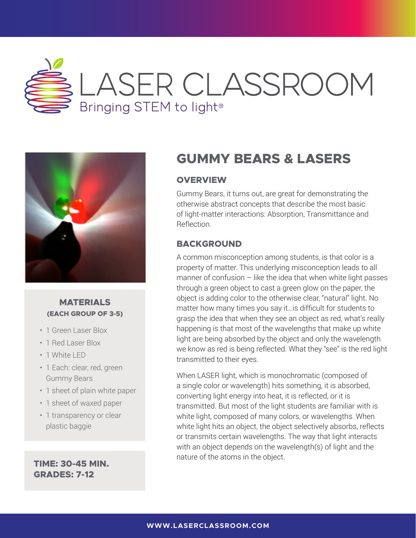



### **MATERIALS (EACH GROUP OF 3-5)**

- 1 Green Laser Blox
- 1 Red Laser Blox
- 1 White LED
- 1 Each: clear, red, green Gummy Bears
- 1 sheet of plain white paper
- 1 sheet of waxed paper
- 1 transparency or clear plastic baggie

**GRADES: 7-12**

## **GUMMY BEARS & LASERS**

## **OVERVIEW**

Gummy Bears, it turns out, are great for demonstrating the otherwise abstract concepts that describe the most basic of light-matter interactions: Absorption, Transmittance and Reflection.

## **BACKGROUND**

A common misconception among students, is that color is a property of matter. This underlying misconception leads to all manner of confusion  $-$  like the idea that when white light passes through a green object to cast a green glow on the paper, the object is adding color to the otherwise clear, "natural" light. No matter how many times you say it…is difficult for students to grasp the idea that when they see an object as red, what's really happening is that most of the wavelengths that make up white light are being absorbed by the object and only the wavelength we know as red is being reflected. What they "see" is the red light transmitted to their eyes.

When LASER light, which is monochromatic (composed of a single color or wavelength) hits something, it is absorbed, converting light energy into heat, it is reflected, or it is transmitted. But most of the light students are familiar with is white light, composed of many colors, or wavelengths. When white light hits an object, the object selectively absorbs, reflects or transmits certain wavelengths. The way that light interacts with an object depends on the wavelength(s) of light and the nature of the atoms in the object. **TIME: 30-45 MIN.**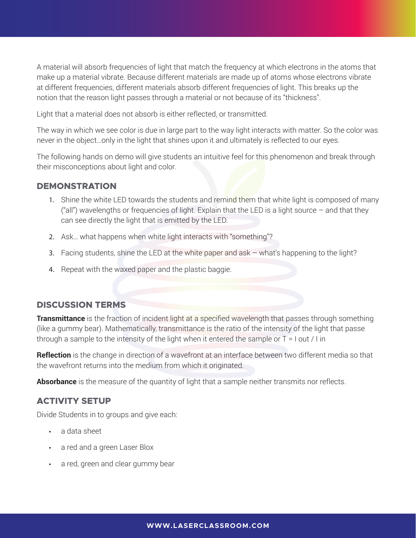A material will absorb frequencies of light that match the frequency at which electrons in the atoms that make up a material vibrate. Because different materials are made up of atoms whose electrons vibrate at different frequencies, different materials absorb different frequencies of light. This breaks up the notion that the reason light passes through a material or not because of its "thickness".

Light that a material does not absorb is either reflected, or transmitted.

The way in which we see color is due in large part to the way light interacts with matter. So the color was never in the object…only in the light that shines upon it and ultimately is reflected to our eyes.

The following hands on demo will give students an intuitive feel for this phenomenon and break through their misconceptions about light and color.

#### **DEMONSTRATION**

- 1. Shine the white LED towards the students and remind them that white light is composed of many ("all") wavelengths or frequencies of light. Explain that the LED is a light source – and that they can see directly the light that is emitted by the LED.
- 2. Ask… what happens when white light interacts with "something"?
- 3. Facing students, shine the LED at the white paper and ask what's happening to the light?
- 4. Repeat with the waxed paper and the plastic baggie.

#### **DISCUSSION TERMS**

**Transmittance** is the fraction of incident light at a specified wavelength that passes through something (like a gummy bear). Mathematically, transmittance is the ratio of the intensity of the light that passe through a sample to the intensity of the light when it entered the sample or T = I out / I in

**Reflection** is the change in direction of a wavefront at an interface between two different media so that the wavefront returns into the medium from which it originated.

**Absorbance** is the measure of the quantity of light that a sample neither transmits nor reflects.

#### **ACTIVITY SETUP**

Divide Students in to groups and give each:

- a data sheet
- a red and a green Laser Blox
- a red, green and clear gummy bear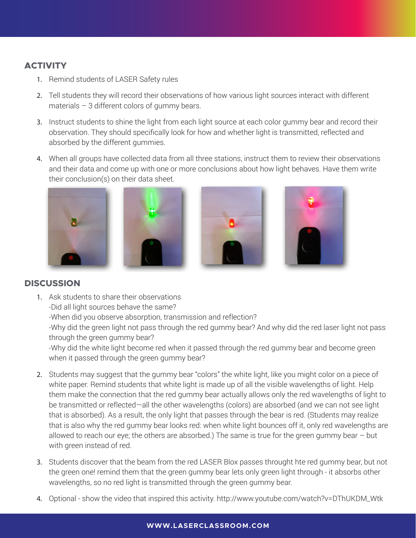## **ACTIVITY**

- 1. Remind students of LASER Safety rules
- 2. Tell students they will record their observations of how various light sources interact with different materials – 3 different colors of gummy bears.
- 3. Instruct students to shine the light from each light source at each color gummy bear and record their observation. They should specifically look for how and whether light is transmitted, reflected and absorbed by the different gummies.
- 4. When all groups have collected data from all three stations, instruct them to review their observations and their data and come up with one or more conclusions about how light behaves. Have them write their conclusion(s) on their data sheet.









## **DISCUSSION**

1. Ask students to share their observations

-Did all light sources behave the same?

-When did you observe absorption, transmission and reflection?

-Why did the green light not pass through the red gummy bear? And why did the red laser light not pass through the green gummy bear?

-Why did the white light become red when it passed through the red gummy bear and become green when it passed through the green gummy bear?

- 2. Students may suggest that the gummy bear "colors" the white light, like you might color on a piece of white paper. Remind students that white light is made up of all the visible wavelengths of light. Help them make the connection that the red gummy bear actually allows only the red wavelengths of light to be transmitted or reflected—all the other wavelengths (colors) are absorbed (and we can not see light that is absorbed). As a result, the only light that passes through the bear is red. (Students may realize that is also why the red gummy bear looks red: when white light bounces off it, only red wavelengths are allowed to reach our eye; the others are absorbed.) The same is true for the green gummy bear  $-$  but with green instead of red.
- 3. Students discover that the beam from the red LASER Blox passes throught hte red gummy bear, but not the green one! remind them that the green gummy bear lets only green light through - it absorbs other wavelengths, so no red light is transmitted through the green gummy bear.
- 4. Optional show the video that inspired this activity. http://www.youtube.com/watch?v=DThUKDM\_Wtk